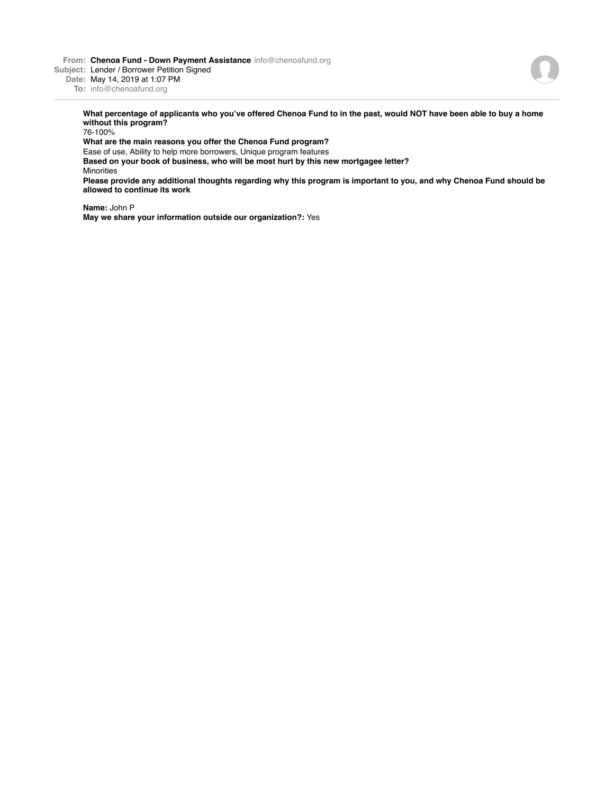**From: Chenoa Fund - Down Payment Assistance** info@chenoafund.org

**Subject:** Lender / Borrower Petition Signed

**Date:** May 14, 2019 at 1:07 PM

**To:** info@chenoafund.org

**What percentage of applicants who you've offered Chenoa Fund to in the past, would NOT have been able to buy a home without this program?**

76-100%

**What are the main reasons you offer the Chenoa Fund program?**

Ease of use, Ability to help more borrowers, Unique program features

**Based on your book of business, who will be most hurt by this new mortgagee letter?** Minorities

**Please provide any additional thoughts regarding why this program is important to you, and why Chenoa Fund should be allowed to continue its work**

**Name:** John P

**May we share your information outside our organization?:** Yes